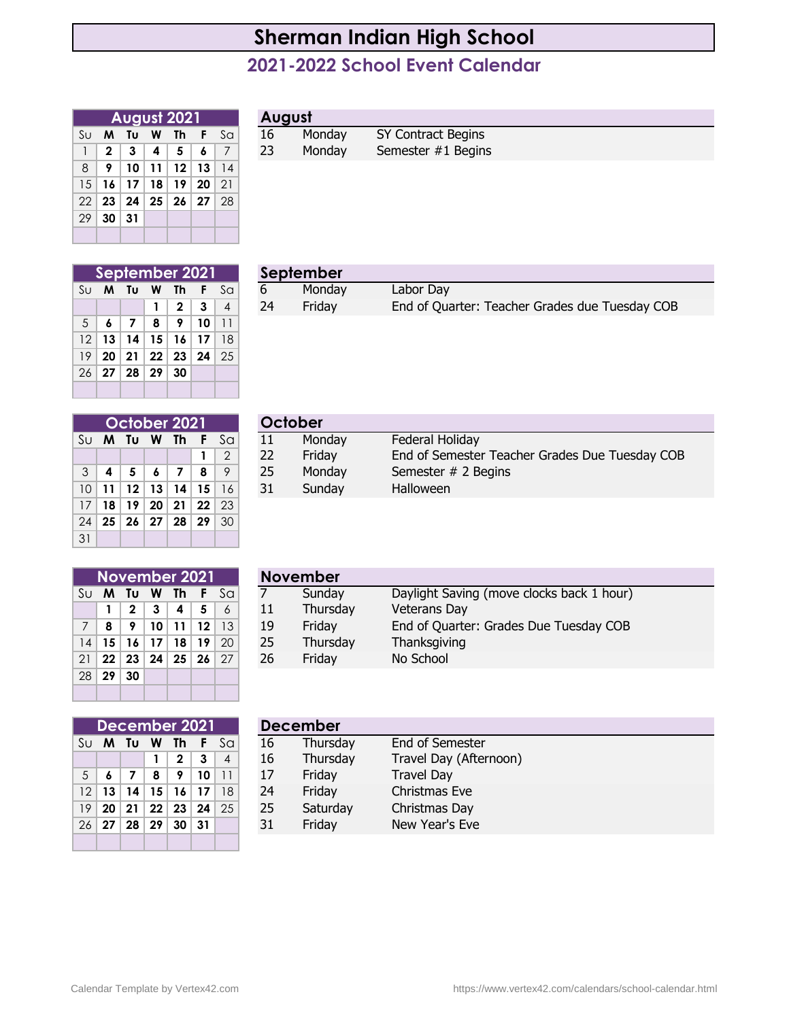## **Sherman Indian High School**

## **2021-2022 School Event Calendar**

|    |              | August 2021 |                         |               |                                           |                | August |   |
|----|--------------|-------------|-------------------------|---------------|-------------------------------------------|----------------|--------|---|
| Sυ | M            | Τu          | W                       | Th            | $\left\langle \mathbf{F}\right\rangle$    | S <sub>G</sub> | 16     | M |
|    | $\mathbf{2}$ | 3           | $\overline{\mathbf{4}}$ | $\sim$ 5 $\,$ | 6                                         | $\overline{7}$ | 23     | M |
| 8  | 9            | 10          |                         |               | $11$   12   13                            | 14             |        |   |
| 15 |              |             |                         |               | $16$   17   18   19   20                  | 21             |        |   |
| 22 |              |             |                         |               | $23 \mid 24 \mid 25 \mid 26 \mid 27 \mid$ | -28            |        |   |
| 29 | 30           | 31          |                         |               |                                           |                |        |   |
|    |              |             |                         |               |                                           |                |        |   |

|  | August |
|--|--------|
|  |        |

|                                         |  | <b>August 2021</b> |             | <b>August</b> |        |                    |  |  |  |  |
|-----------------------------------------|--|--------------------|-------------|---------------|--------|--------------------|--|--|--|--|
| Su <b>M Tu W</b>                        |  | - Th               | <b>F</b> Sa | 16            | Monday | SY Contract Begins |  |  |  |  |
| $1$   2   3   4   5                     |  |                    |             | 23            | Mondav | Semester #1 Begins |  |  |  |  |
| $8$   9   10   11   12   13   1         |  |                    |             |               |        |                    |  |  |  |  |
| $15$ $11$ $17$ $17$ $10$ $10$ $00$ $01$ |  |                    |             |               |        |                    |  |  |  |  |

|                | September 2021 |  |                  |                                                                |                                    |                                                                                                                        |  |  |  |  |  |  |
|----------------|----------------|--|------------------|----------------------------------------------------------------|------------------------------------|------------------------------------------------------------------------------------------------------------------------|--|--|--|--|--|--|
| Su             |                |  | M Tu W Th        |                                                                | F                                  | Sa                                                                                                                     |  |  |  |  |  |  |
|                |                |  | $\mathbf{1}$     | $\begin{array}{ c c c }\n\hline\n2 & 3 \\ \hline\n\end{array}$ |                                    | $\begin{array}{\begin{array}{\small \begin{array}{\small \end{array}}}} \begin{array}{\small \end{array}} \end{array}$ |  |  |  |  |  |  |
| 5 <sup>5</sup> | 678            |  |                  |                                                                | $9 \mid 10$                        | $\overline{11}$                                                                                                        |  |  |  |  |  |  |
|                |                |  |                  |                                                                | $12$   13   14   15   16   17   18 |                                                                                                                        |  |  |  |  |  |  |
|                |                |  |                  |                                                                | $19$ 20 21 22 23 24 25             |                                                                                                                        |  |  |  |  |  |  |
|                |                |  | $26$ 27 28 29 30 |                                                                |                                    |                                                                                                                        |  |  |  |  |  |  |
|                |                |  |                  |                                                                |                                    |                                                                                                                        |  |  |  |  |  |  |

|  |  | September 2021                   |                           |    | September |                                                |  |  |  |  |  |
|--|--|----------------------------------|---------------------------|----|-----------|------------------------------------------------|--|--|--|--|--|
|  |  |                                  | Su <b>M Tu W Th F</b> Sal |    | Mondav    | Labor Day                                      |  |  |  |  |  |
|  |  | $\vert 1 \vert 2 \vert 3 \vert$  |                           | 24 | Fridav    | End of Quarter: Teacher Grades due Tuesday COB |  |  |  |  |  |
|  |  | 5 6 7 8 9 10 11                  |                           |    |           |                                                |  |  |  |  |  |
|  |  | 10   10   11   12   13   19   10 |                           |    |           |                                                |  |  |  |  |  |

| October 2021                                               |                 |  |                                              |                |   |               |  |  |  |  |  |
|------------------------------------------------------------|-----------------|--|----------------------------------------------|----------------|---|---------------|--|--|--|--|--|
| $S_{\Omega}$<br>$\rm S\sigma$<br>$\mathsf{F}$<br>M Tu W Th |                 |  |                                              |                |   |               |  |  |  |  |  |
|                                                            |                 |  |                                              |                | 1 | $\mathcal{P}$ |  |  |  |  |  |
| 3                                                          | 4               |  | $5 \mid 6$                                   | $\overline{7}$ | 8 | 9             |  |  |  |  |  |
| 10                                                         | 11 <sup>1</sup> |  | $12$   13   14   15                          |                |   | -16           |  |  |  |  |  |
| 17                                                         | 18              |  | $19$ 20 21 22 23                             |                |   |               |  |  |  |  |  |
| 24                                                         |                 |  | $25 \mid 26 \mid 27 \mid 28 \mid 29 \mid 30$ |                |   |               |  |  |  |  |  |
| 31                                                         |                 |  |                                              |                |   |               |  |  |  |  |  |

|                |         | October 2021                         |                               |      |                 |         |    | October |                                                |
|----------------|---------|--------------------------------------|-------------------------------|------|-----------------|---------|----|---------|------------------------------------------------|
|                |         | Su <b>M Tu W</b>                     |                               | - Th |                 | F Sal   | 11 | Monday  | Federal Holiday                                |
|                |         |                                      |                               |      |                 |         | 22 | Friday  | End of Semester Teacher Grades Due Tuesday COB |
| 3 <sup>1</sup> |         | 5                                    | $\epsilon$                    |      | 8               | $\circ$ | 25 | Monday  | Semester # 2 Begins                            |
|                | $10$ 11 | 12                                   | $\vert$ 13 $\vert$ 14 $\vert$ |      | 15 <sup>1</sup> |         | 31 | Sunday  | Halloween                                      |
|                |         | $\overline{17}$ and an and an and an |                               |      |                 |         |    |         |                                                |

| November 2021 |                        |  |                   |                                              |           |              |  |  |  |  |  |
|---------------|------------------------|--|-------------------|----------------------------------------------|-----------|--------------|--|--|--|--|--|
| $\rm S\sigma$ |                        |  |                   | M Tu W Th F                                  |           | $S_{\Omega}$ |  |  |  |  |  |
|               | 1                      |  | $2 \mid 3 \mid 4$ |                                              | $\vert$ 5 | 6            |  |  |  |  |  |
| 7             | 8                      |  |                   | 9   10   11   12   13                        |           |              |  |  |  |  |  |
| 14            | 15   16   17   18   19 |  |                   |                                              |           | $\mid$ 20    |  |  |  |  |  |
| 21            |                        |  |                   | $22 \mid 23 \mid 24 \mid 25 \mid 26 \mid 27$ |           |              |  |  |  |  |  |
| 28            | 29 30                  |  |                   |                                              |           |              |  |  |  |  |  |
|               |                        |  |                   |                                              |           |              |  |  |  |  |  |

|                | November 2021        |                 |                 |                 |                 |    |    | <b>November</b> |                                           |  |  |  |  |  |
|----------------|----------------------|-----------------|-----------------|-----------------|-----------------|----|----|-----------------|-------------------------------------------|--|--|--|--|--|
|                | Su M                 | - Tu            | <b>W</b>        | -Th             | F.              | Sa |    | Sunday          | Daylight Saving (move clocks back 1 hour) |  |  |  |  |  |
|                |                      | $\mathbf 2$     | 3               | 4               | 5               |    | 11 | Thursday        | <b>Veterans Day</b>                       |  |  |  |  |  |
| 7 <sup>1</sup> | 8                    | 9               | 10 <sup>1</sup> | 11              | $12 \ \mathrm{$ | 13 | 19 | Friday          | End of Quarter: Grades Due Tuesday COB    |  |  |  |  |  |
| 14             | - 15 ≒               | 16 <sup>1</sup> | 17              | 18 <sup>1</sup> | 19 <sup>1</sup> | 20 | 25 | Thursday        | Thanksgiving                              |  |  |  |  |  |
|                | $21$   22            | 23              | 24              | 25              | 26 <sup>1</sup> | 27 | 26 | Friday          | No School                                 |  |  |  |  |  |
|                | $00 \,$ $00 \,$ $00$ |                 |                 |                 |                 |    |    |                 |                                           |  |  |  |  |  |

| December 2021  |                |  |                               |                   |  |               |  |  |  |  |  |
|----------------|----------------|--|-------------------------------|-------------------|--|---------------|--|--|--|--|--|
| $\rm S\sigma$  | M Tu W Th F Sa |  |                               |                   |  |               |  |  |  |  |  |
|                |                |  |                               | $1 \mid 2 \mid 3$ |  | $\parallel$ 4 |  |  |  |  |  |
| 5 <sup>5</sup> |                |  | 6   7   8   9   10   11       |                   |  |               |  |  |  |  |  |
|                |                |  | $12$   13   14   15   16   17 |                   |  | -18           |  |  |  |  |  |
|                |                |  | $19$ 20 21 22 23 24 25        |                   |  |               |  |  |  |  |  |
|                |                |  | $26$   27   28   29   30   31 |                   |  |               |  |  |  |  |  |
|                |                |  |                               |                   |  |               |  |  |  |  |  |

|                 |    | December 2021 |    |    |    |    |    | <b>December</b> |                        |
|-----------------|----|---------------|----|----|----|----|----|-----------------|------------------------|
| Sul             | M  | Τυ            | W  | Th |    | Sa | 16 | Thursday        | End of Semester        |
|                 |    |               |    |    |    | 4  | 16 | Thursday        | Travel Day (Afternoon) |
| 5               |    |               | 8  | o  | 10 |    | 17 | Friday          | <b>Travel Day</b>      |
| 12 <sup>1</sup> | 13 | 14            | 15 | 16 |    | 18 | 24 | Friday          | Christmas Eve          |
| 19 <sup>1</sup> | 20 | 21            | 22 | 23 | 24 | 25 | 25 | Saturday        | Christmas Day          |
| 26 <sup>1</sup> | 27 | 28            | 29 | 30 | 31 |    | 31 | Friday          | New Year's Eve         |